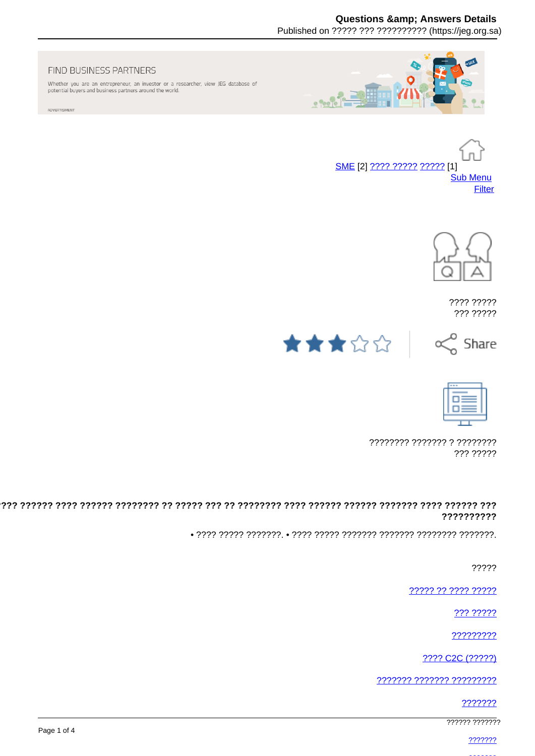## **Questions & Answers Details**

Published on ????? ??? ?????????? (https://jeg.org.sa)



Whether you are an entrepreneur, an investor or a researcher, view JEG database of potential buyers and business partners around the world.

ADVERTISMENT







???? ????? ??? ?????







???????? ??????? ? ???????? ??? ?????

??????????

?????

????? ?? ???? ?????

222 22222

?????????

???? C2C (?????)

??????? ??????? ?????????

???????

777777 7777777

2222222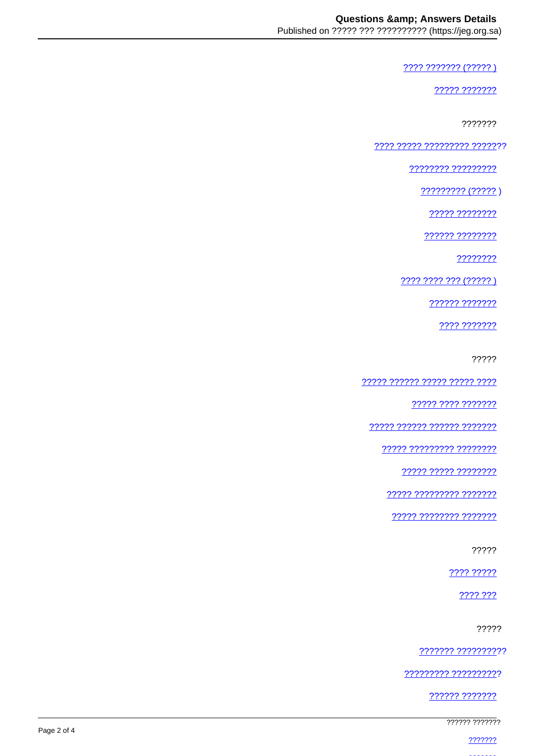$???? ???????$ 

????? ???????

???????

<u> ???? ????? ????????? ???????</u>

???????? ?????????

????????? (?????)

????? ????????

?????? ????????

????????

2222 2222 222 (22222)

?????? ???????

2222 2222222

?????

77777 777777 77777 77777 7777

77777 7777 7777777

77777 777777 777777 7777777

????? ????????? ????????

77777 77777 77777777

????? ????????? ???????

????? ???????? ???????

?????

???? ?????

???? ???

?????

??????? ??????????

<u> ????????? ??????????</u>

?????? ???????

777777 7777777

2222222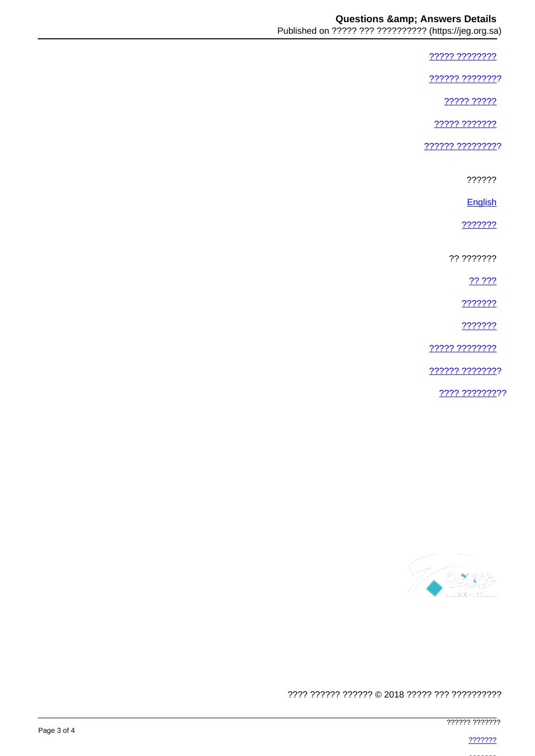????? ????????

222222 22222222

????? ?????

????? ???????

<u> ?????? ?????????</u>

??????

English

???????

?? ???????

22.222

???????

???????

22222 22222222

?????? ????????

???? ?????????



???? ?????? ?????? © 2018 ????? ??? ??????????

777777 7777777

2222222